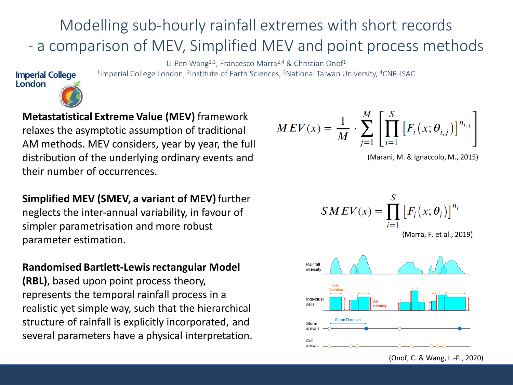## Modelling sub-hourly rainfall extremes with short records - a comparison of MEV, Simplified MEV and point process methods

Li-Pen Wang<sup>1,3</sup>, Francesco Marra<sup>2,4</sup> & Christian Onof<sup>1</sup> <sup>1</sup>Imperial College London, <sup>2</sup>Institute of Earth Sciences, <sup>3</sup>National Taiwan University, <sup>4</sup>CNR-ISAC

#### **Imperial College** London



**Metastatistical Extreme Value (MEV)** framework relaxes the asymptotic assumption of traditional AM methods. MEV considers, year by year, the full distribution of the underlying ordinary events and their number of occurrences.

**Simplified MEV (SMEV, a variant of MEV)** further neglects the inter-annual variability, in favour of simpler parametrisation and more robust parameter estimation.

### **Randomised Bartlett-Lewis rectangular Model**

**(RBL)**, based upon point process theory, represents the temporal rainfall process in a realistic yet simple way, such that the hierarchical structure of rainfall is explicitly incorporated, and several parameters have a physical interpretation.

$$
MEV(x) = \frac{1}{M} \cdot \sum_{j=1}^{M} \left[ \prod_{i=1}^{S} \left[ F_i(x; \theta_{i,j}) \right]^{n_{i,j}} \right]
$$

(Marani, M. & Ignaccolo, M., 2015)

$$
SMEV(x) = \prod_{i=1}^{S} \left[ F_i(x; \theta_i) \right]^{n_i}
$$
  
(Marra, F. et al., 2019)



(Onof, C. & Wang, L.-P., 2020)